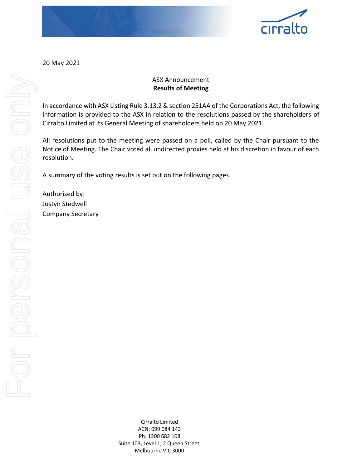

20 May 2021

## ASX Announcement **Results of Meeting**

In accordance with ASX Listing Rule 3.13.2 & section 251AA of the Corporations Act, the following information is provided to the ASX in relation to the resolutions passed by the shareholders of Cirralto Limited at its General Meeting of shareholders held on 20 May 2021.

All resolutions put to the meeting were passed on a poll, called by the Chair pursuant to the Notice of Meeting. The Chair voted all undirected proxies held at his discretion in favour of each resolution.

A summary of the voting results is set out on the following pages.

Authorised by: Justyn Stedwell Company Secretary

> Cirralto Limited ACN: 099 084 143 Ph: 1300 682 108 Suite 103, Level 1, 2 Queen Street, Melbourne VIC 3000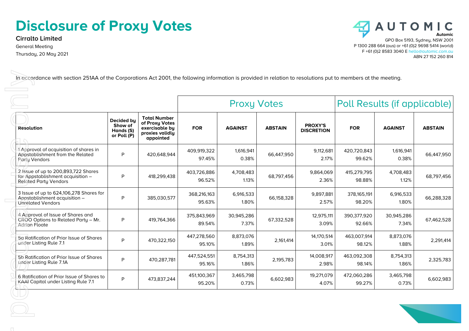## **Disclosure of Proxy Votes**

**Cirralto Limited** General Meeting Thursday, 20 May 2021



| <b>Resolution</b><br>1 Approval of acquisition of shares in                                              | Decided by<br>Show of<br>Hands (S)<br>or Poll (P) | <b>Total Number</b><br>of Proxy Votes<br>exercisable by<br>proxies validly | <b>FOR</b>            | <b>AGAINST</b>      |                | <b>PROXY'S</b>      |                       |                     |                |
|----------------------------------------------------------------------------------------------------------|---------------------------------------------------|----------------------------------------------------------------------------|-----------------------|---------------------|----------------|---------------------|-----------------------|---------------------|----------------|
|                                                                                                          |                                                   | appointed                                                                  |                       |                     | <b>ABSTAIN</b> | <b>DISCRETION</b>   | <b>FOR</b>            | <b>AGAINST</b>      | <b>ABSTAIN</b> |
| Appstablishment from the Related<br>Party Vendors                                                        | P                                                 | 420,648,944                                                                | 409,919,322<br>97.45% | 1,616,941<br>0.38%  | 66,447,950     | 9,112,681<br>2.17%  | 420,720,843<br>99.62% | 1,616,941<br>0.38%  | 66,447,950     |
| 2 Issue of up to 200,893,722 Shares<br>for Appstablishment acquisition -<br><b>Related Party Vendors</b> | P                                                 | 418,299,438                                                                | 403,726,886<br>96.52% | 4,708,483<br>1.13%  | 68,797,456     | 9,864,069<br>2.36%  | 415,279,795<br>98.88% | 4,708,483<br>1.12%  | 68,797,456     |
| 3 Issue of up to 624,106,278 Shares for<br>Appstablishment acquisition -<br><b>Unrelated Vendors</b>     | P                                                 | 385,030,577                                                                | 368,216,163<br>95.63% | 6,916,533<br>1.80%  | 66,158,328     | 9,897,881<br>2.57%  | 378,165,191<br>98.20% | 6,916,533<br>1.80%  | 66,288,328     |
| 4 Approval of Issue of Shares and<br>CROO Options to Related Party - Mr.<br>Adrian Floate                | P                                                 | 419,764,366                                                                | 375,843,969<br>89.54% | 30,945,286<br>7.37% | 67,332,528     | 12,975,111<br>3.09% | 390,377,920<br>92.66% | 30,945,286<br>7.34% | 67,462,528     |
| 5a Ratification of Prior Issue of Shares<br>under Listing Rule 7.1                                       | P                                                 | 470,322,150                                                                | 447,278,560<br>95.10% | 8,873,076<br>1.89%  | 2,161,414      | 14,170,514<br>3.01% | 463,007,914<br>98.12% | 8,873,076<br>1.88%  | 2,291,414      |
| 5b Ratification of Prior Issue of Shares<br>under Listing Rule 7.1A                                      | P                                                 | 470,287,781                                                                | 447,524,551<br>95.16% | 8,754,313<br>1.86%  | 2,195,783      | 14,008,917<br>2.98% | 463,092,308<br>98.14% | 8,754,313<br>1.86%  | 2,325,783      |
| 6 Ratification of Prior Issue of Shares to<br>KAAI Capital under Listing Rule 7.1                        | P                                                 | 473,837,244                                                                | 451,100,367<br>95.20% | 3,465,798<br>0.73%  | 6,602,983      | 19,271,079<br>4.07% | 472,060,286<br>99.27% | 3,465,798<br>0.73%  | 6,602,983      |